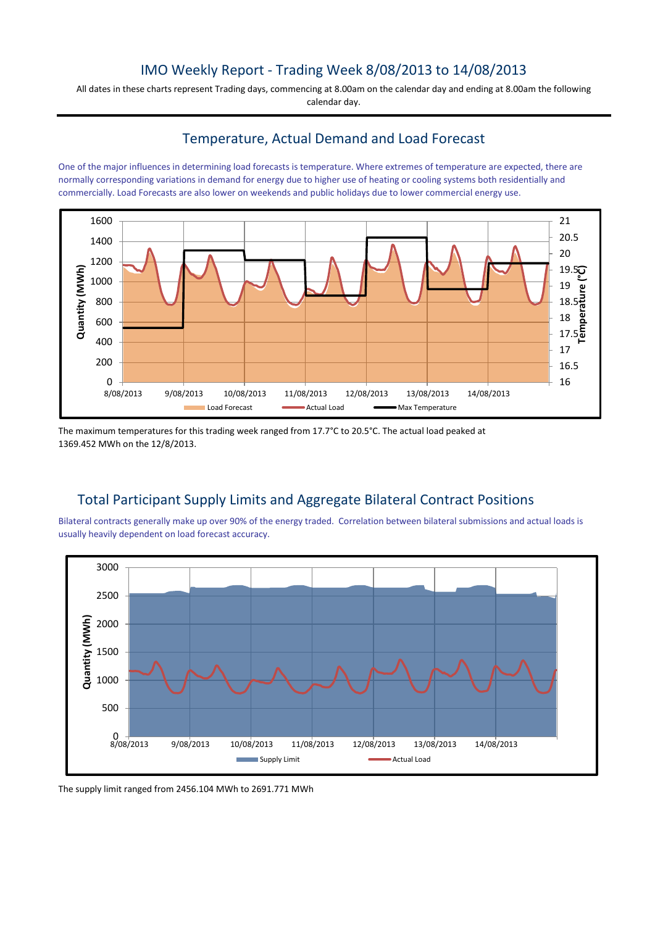# IMO Weekly Report - Trading Week 8/08/2013 to 14/08/2013

All dates in these charts represent Trading days, commencing at 8.00am on the calendar day and ending at 8.00am the following calendar day.

# Temperature, Actual Demand and Load Forecast

One of the major influences in determining load forecasts is temperature. Where extremes of temperature are expected, there are normally corresponding variations in demand for energy due to higher use of heating or cooling systems both residentially and commercially. Load Forecasts are also lower on weekends and public holidays due to lower commercial energy use.



The maximum temperatures for this trading week ranged from 17.7°C to 20.5°C. The actual load peaked at 1369.452 MWh on the 12/8/2013.

# Total Participant Supply Limits and Aggregate Bilateral Contract Positions

Bilateral contracts generally make up over 90% of the energy traded. Correlation between bilateral submissions and actual loads is usually heavily dependent on load forecast accuracy.



The supply limit ranged from 2456.104 MWh to 2691.771 MWh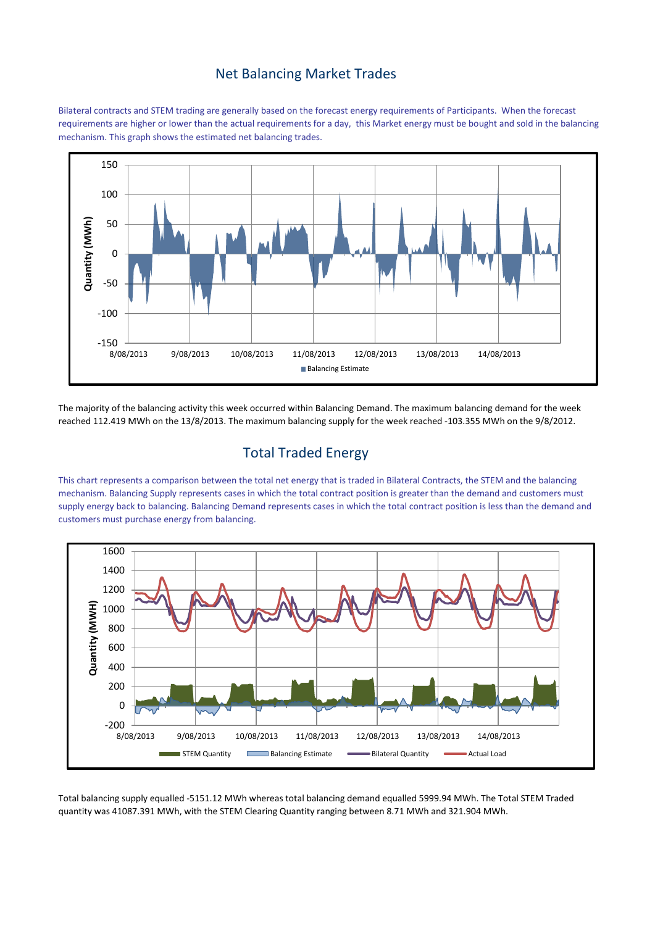#### Net Balancing Market Trades

Bilateral contracts and STEM trading are generally based on the forecast energy requirements of Participants. When the forecast requirements are higher or lower than the actual requirements for a day, this Market energy must be bought and sold in the balancing mechanism. This graph shows the estimated net balancing trades.



The majority of the balancing activity this week occurred within Balancing Demand. The maximum balancing demand for the week reached 112.419 MWh on the 13/8/2013. The maximum balancing supply for the week reached -103.355 MWh on the 9/8/2012.

# Total Traded Energy

This chart represents a comparison between the total net energy that is traded in Bilateral Contracts, the STEM and the balancing mechanism. Balancing Supply represents cases in which the total contract position is greater than the demand and customers must supply energy back to balancing. Balancing Demand represents cases in which the total contract position is less than the demand and customers must purchase energy from balancing.



Total balancing supply equalled -5151.12 MWh whereas total balancing demand equalled 5999.94 MWh. The Total STEM Traded quantity was 41087.391 MWh, with the STEM Clearing Quantity ranging between 8.71 MWh and 321.904 MWh.